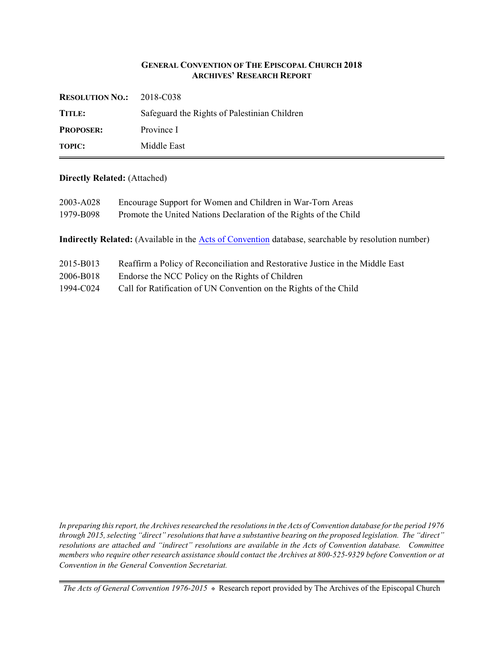### **GENERAL CONVENTION OF THE EPISCOPAL CHURCH 2018 ARCHIVES' RESEARCH REPORT**

| <b>RESOLUTION NO.:</b> $2018-\text{C}038$ |                                              |
|-------------------------------------------|----------------------------------------------|
| TITLE:                                    | Safeguard the Rights of Palestinian Children |
| <b>PROPOSER:</b>                          | Province I                                   |
| <b>TOPIC:</b>                             | Middle East                                  |

### **Directly Related:** (Attached)

| 2003-A028<br>1979-B098                                   | Encourage Support for Women and Children in War-Torn Areas<br>Promote the United Nations Declaration of the Rights of the Child |
|----------------------------------------------------------|---------------------------------------------------------------------------------------------------------------------------------|
|                                                          | <b>Indirectly Related:</b> (Available in the Acts of Convention database, searchable by resolution number)                      |
| 2015-B013                                                | Reaffirm a Policy of Reconciliation and Restorative Justice in the Middle East                                                  |
| $\mathbf{a} \mathbf{a} \mathbf{a} \mathbf{b} \mathbf{b}$ | $F_{1}$ 1 $F_{2}$ 1 $F_{3}$ 1 $F_{4}$ 1 $F_{5}$ 1 $F_{6}$ 1 $F_{7}$ 1 $F_{8}$                                                   |

- 2006-B018 Endorse the NCC Policy on the Rights of Children
- 1994-C024 Call for Ratification of UN Convention on the Rights of the Child

*In preparing this report, the Archives researched the resolutions in the Acts of Convention database for the period 1976 through 2015, selecting "direct" resolutions that have a substantive bearing on the proposed legislation. The "direct" resolutions are attached and "indirect" resolutions are available in the Acts of Convention database. Committee members who require other research assistance should contact the Archives at 800-525-9329 before Convention or at Convention in the General Convention Secretariat.*

*The Acts of General Convention 1976-2015*  $*$  Research report provided by The Archives of the Episcopal Church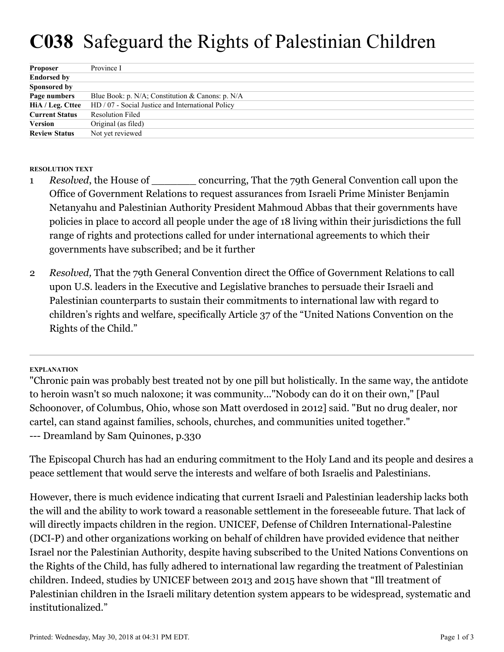# **C038** Safeguard the Rights of Palestinian Children

| <b>Proposer</b>       | Province I                                        |
|-----------------------|---------------------------------------------------|
| <b>Endorsed by</b>    |                                                   |
| Sponsored by          |                                                   |
| Page numbers          | Blue Book: p. N/A; Constitution & Canons: p. N/A  |
| HiA / Leg. Cttee      | HD / 07 - Social Justice and International Policy |
| <b>Current Status</b> | <b>Resolution Filed</b>                           |
| Version               | Original (as filed)                               |
| <b>Review Status</b>  | Not yet reviewed                                  |

## **RESOLUTION TEXT**

- *Resolved*, the House of \_\_\_\_\_\_\_ concurring, That the 79th General Convention call upon the Office of Government Relations to request assurances from Israeli Prime Minister Benjamin Netanyahu and Palestinian Authority President Mahmoud Abbas that their governments have policies in place to accord all people under the age of 18 living within their jurisdictions the full range of rights and protections called for under international agreements to which their governments have subscribed; and be it further 1
- *Resolved,* That the 79th General Convention direct the Office of Government Relations to call upon U.S. leaders in the Executive and Legislative branches to persuade their Israeli and Palestinian counterparts to sustain their commitments to international law with regard to children's rights and welfare, specifically Article 37 of the "United Nations Convention on the Rights of the Child." 2

## **EXPLANATION**

"Chronic pain was probably best treated not by one pill but holistically. In the same way, the antidote to heroin wasn't so much naloxone; it was community..."Nobody can do it on their own," [Paul Schoonover, of Columbus, Ohio, whose son Matt overdosed in 2012] said. "But no drug dealer, nor cartel, can stand against families, schools, churches, and communities united together." --- Dreamland by Sam Quinones, p.330

The Episcopal Church has had an enduring commitment to the Holy Land and its people and desires a peace settlement that would serve the interests and welfare of both Israelis and Palestinians.

However, there is much evidence indicating that current Israeli and Palestinian leadership lacks both the will and the ability to work toward a reasonable settlement in the foreseeable future. That lack of will directly impacts children in the region. UNICEF, Defense of Children International-Palestine (DCI-P) and other organizations working on behalf of children have provided evidence that neither Israel nor the Palestinian Authority, despite having subscribed to the United Nations Conventions on the Rights of the Child, has fully adhered to international law regarding the treatment of Palestinian children. Indeed, studies by UNICEF between 2013 and 2015 have shown that "Ill treatment of Palestinian children in the Israeli military detention system appears to be widespread, systematic and institutionalized."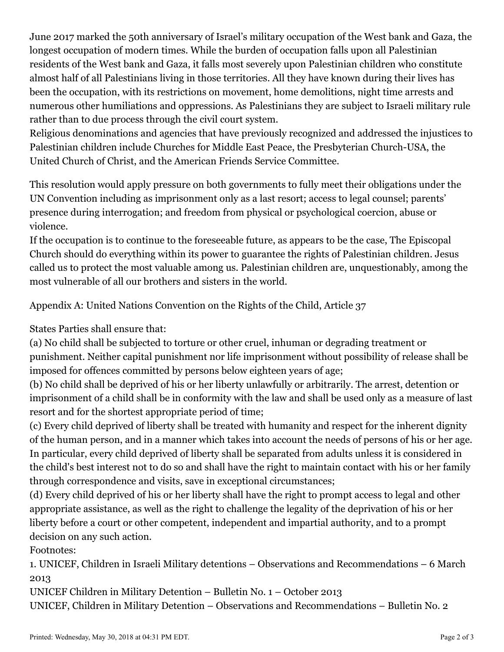June 2017 marked the 50th anniversary of Israel's military occupation of the West bank and Gaza, the longest occupation of modern times. While the burden of occupation falls upon all Palestinian residents of the West bank and Gaza, it falls most severely upon Palestinian children who constitute almost half of all Palestinians living in those territories. All they have known during their lives has been the occupation, with its restrictions on movement, home demolitions, night time arrests and numerous other humiliations and oppressions. As Palestinians they are subject to Israeli military rule rather than to due process through the civil court system.

Religious denominations and agencies that have previously recognized and addressed the injustices to Palestinian children include Churches for Middle East Peace, the Presbyterian Church-USA, the United Church of Christ, and the American Friends Service Committee.

This resolution would apply pressure on both governments to fully meet their obligations under the UN Convention including as imprisonment only as a last resort; access to legal counsel; parents' presence during interrogation; and freedom from physical or psychological coercion, abuse or violence.

If the occupation is to continue to the foreseeable future, as appears to be the case, The Episcopal Church should do everything within its power to guarantee the rights of Palestinian children. Jesus called us to protect the most valuable among us. Palestinian children are, unquestionably, among the most vulnerable of all our brothers and sisters in the world.

Appendix A: United Nations Convention on the Rights of the Child, Article 37

States Parties shall ensure that:

(a) No child shall be subjected to torture or other cruel, inhuman or degrading treatment or punishment. Neither capital punishment nor life imprisonment without possibility of release shall be imposed for offences committed by persons below eighteen years of age;

(b) No child shall be deprived of his or her liberty unlawfully or arbitrarily. The arrest, detention or imprisonment of a child shall be in conformity with the law and shall be used only as a measure of last resort and for the shortest appropriate period of time;

(c) Every child deprived of liberty shall be treated with humanity and respect for the inherent dignity of the human person, and in a manner which takes into account the needs of persons of his or her age. In particular, every child deprived of liberty shall be separated from adults unless it is considered in the child's best interest not to do so and shall have the right to maintain contact with his or her family through correspondence and visits, save in exceptional circumstances;

(d) Every child deprived of his or her liberty shall have the right to prompt access to legal and other appropriate assistance, as well as the right to challenge the legality of the deprivation of his or her liberty before a court or other competent, independent and impartial authority, and to a prompt decision on any such action.

Footnotes:

1. UNICEF, Children in Israeli Military detentions – Observations and Recommendations – 6 March 2013

UNICEF Children in Military Detention – Bulletin No. 1 – October 2013

UNICEF, Children in Military Detention – Observations and Recommendations – Bulletin No. 2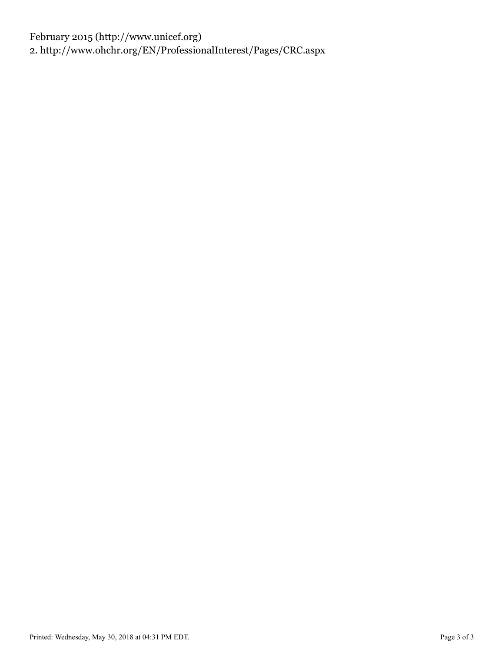February 2015 (http://www.unicef.org) 2. http://www.ohchr.org/EN/ProfessionalInterest/Pages/CRC.aspx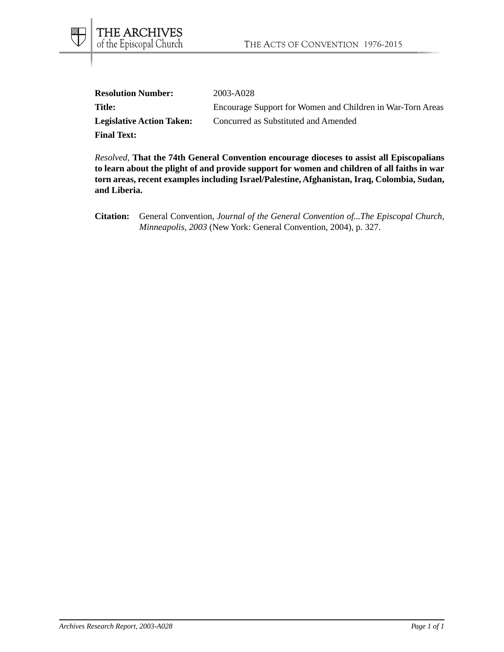| <b>Resolution Number:</b>        | 2003-A028                                                  |
|----------------------------------|------------------------------------------------------------|
| <b>Title:</b>                    | Encourage Support for Women and Children in War-Torn Areas |
| <b>Legislative Action Taken:</b> | Concurred as Substituted and Amended                       |
| <b>Final Text:</b>               |                                                            |

*Resolved*, **That the 74th General Convention encourage dioceses to assist all Episcopalians to learn about the plight of and provide support for women and children of all faiths in war torn areas, recent examples including Israel/Palestine, Afghanistan, Iraq, Colombia, Sudan, and Liberia.**

**Citation:** General Convention, *Journal of the General Convention of...The Episcopal Church, Minneapolis, 2003* (New York: General Convention, 2004), p. 327.